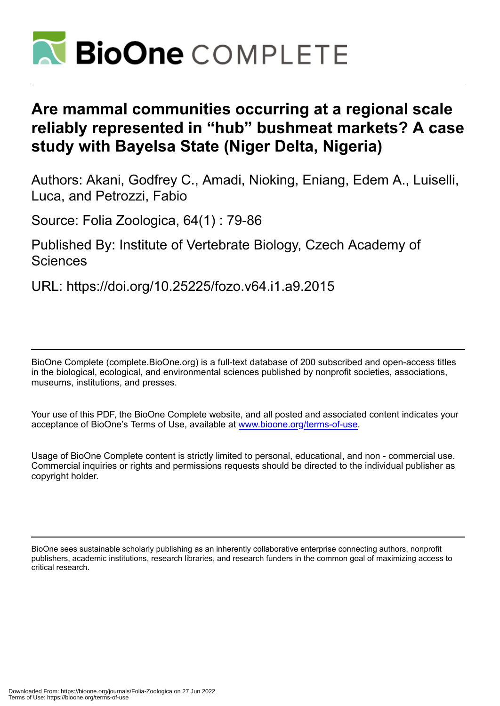

## **Are mammal communities occurring at a regional scale reliably represented in "hub" bushmeat markets? A case study with Bayelsa State (Niger Delta, Nigeria)**

Authors: Akani, Godfrey C., Amadi, Nioking, Eniang, Edem A., Luiselli, Luca, and Petrozzi, Fabio

Source: Folia Zoologica, 64(1) : 79-86

Published By: Institute of Vertebrate Biology, Czech Academy of **Sciences** 

URL: https://doi.org/10.25225/fozo.v64.i1.a9.2015

BioOne Complete (complete.BioOne.org) is a full-text database of 200 subscribed and open-access titles in the biological, ecological, and environmental sciences published by nonprofit societies, associations, museums, institutions, and presses.

Your use of this PDF, the BioOne Complete website, and all posted and associated content indicates your acceptance of BioOne's Terms of Use, available at www.bioone.org/terms-of-use.

Usage of BioOne Complete content is strictly limited to personal, educational, and non - commercial use. Commercial inquiries or rights and permissions requests should be directed to the individual publisher as copyright holder.

BioOne sees sustainable scholarly publishing as an inherently collaborative enterprise connecting authors, nonprofit publishers, academic institutions, research libraries, and research funders in the common goal of maximizing access to critical research.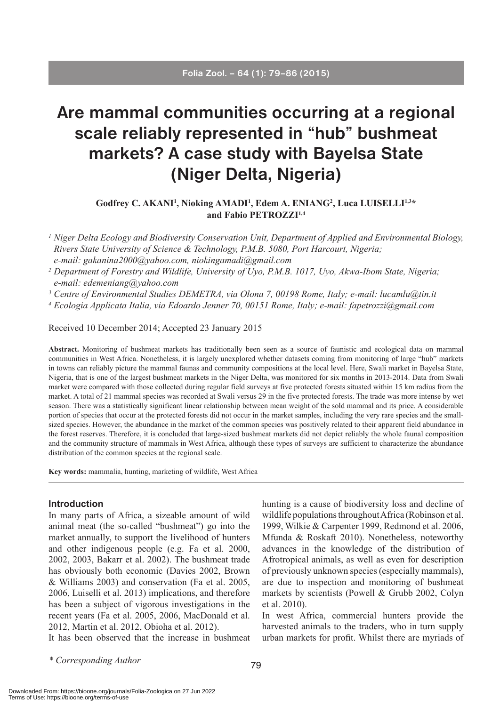# **Are mammal communities occurring at a regional scale reliably represented in "hub" bushmeat markets? A case study with Bayelsa State (Niger Delta, Nigeria)**

## Godfrey C. AKANI<sup>1</sup>, Nioking AMADI<sup>1</sup>, Edem A. ENIANG<sup>2</sup>, Luca LUISELLI<sup>1,3\*</sup> **and Fabio PETROZZI1,4**

- *<sup>1</sup> Niger Delta Ecology and Biodiversity Conservation Unit, Department of Applied and Environmental Biology, Rivers State University of Science & Technology, P.M.B. 5080, Port Harcourt, Nigeria; e-mail: gakanina2000@yahoo.com, niokingamadi@gmail.com*
- *<sup>2</sup> Department of Forestry and Wildlife, University of Uyo, P.M.B. 1017, Uyo, Akwa-Ibom State, Nigeria; e-mail: edemeniang@yahoo.com*
- *<sup>3</sup> Centre of Environmental Studies DEMETRA, via Olona 7, 00198 Rome, Italy; e-mail: lucamlu@tin.it*

*<sup>4</sup> Ecologia Applicata Italia, via Edoardo Jenner 70, 00151 Rome, Italy; e-mail: fapetrozzi@gmail.com*

Received 10 December 2014; Accepted 23 January 2015

**Abstract.** Monitoring of bushmeat markets has traditionally been seen as a source of faunistic and ecological data on mammal communities in West Africa. Nonetheless, it is largely unexplored whether datasets coming from monitoring of large "hub" markets in towns can reliably picture the mammal faunas and community compositions at the local level. Here, Swali market in Bayelsa State, Nigeria, that is one of the largest bushmeat markets in the Niger Delta, was monitored for six months in 2013-2014. Data from Swali market were compared with those collected during regular field surveys at five protected forests situated within 15 km radius from the market. A total of 21 mammal species was recorded at Swali versus 29 in the five protected forests. The trade was more intense by wet season. There was a statistically significant linear relationship between mean weight of the sold mammal and its price. A considerable portion of species that occur at the protected forests did not occur in the market samples, including the very rare species and the smallsized species. However, the abundance in the market of the common species was positively related to their apparent field abundance in the forest reserves. Therefore, it is concluded that large-sized bushmeat markets did not depict reliably the whole faunal composition and the community structure of mammals in West Africa, although these types of surveys are sufficient to characterize the abundance distribution of the common species at the regional scale.

**Key words:** mammalia, hunting, marketing of wildlife, West Africa

#### **Introduction**

In many parts of Africa, a sizeable amount of wild animal meat (the so-called "bushmeat") go into the market annually, to support the livelihood of hunters and other indigenous people (e.g. Fa et al. 2000, 2002, 2003, Bakarr et al. 2002). The bushmeat trade has obviously both economic (Davies 2002, Brown & Williams 2003) and conservation (Fa et al. 2005, 2006, Luiselli et al. 2013) implications, and therefore has been a subject of vigorous investigations in the recent years (Fa et al. 2005, 2006, MacDonald et al. 2012, Martin et al. 2012, Obioha et al. 2012).

It has been observed that the increase in bushmeat

hunting is a cause of biodiversity loss and decline of wildlife populations throughout Africa (Robinson et al. 1999, Wilkie & Carpenter 1999, Redmond et al. 2006, Mfunda & Roskaft 2010). Nonetheless, noteworthy advances in the knowledge of the distribution of Afrotropical animals, as well as even for description of previously unknown species (especially mammals), are due to inspection and monitoring of bushmeat markets by scientists (Powell & Grubb 2002, Colyn et al. 2010).

In west Africa, commercial hunters provide the harvested animals to the traders, who in turn supply urban markets for profit. Whilst there are myriads of

*\* Corresponding Author*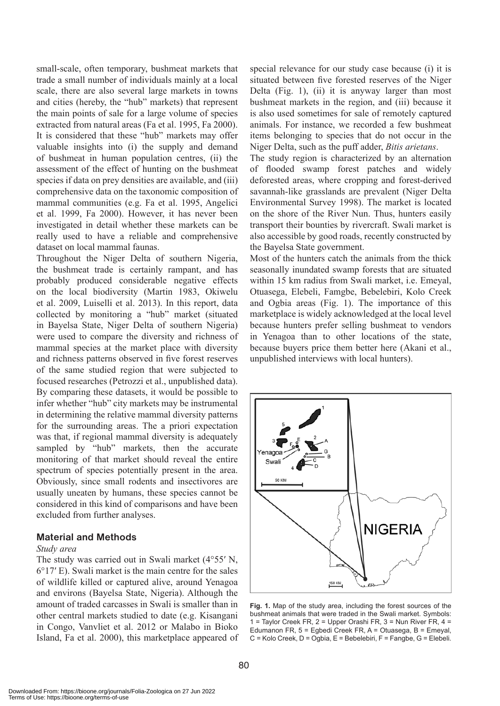small-scale, often temporary, bushmeat markets that trade a small number of individuals mainly at a local scale, there are also several large markets in towns and cities (hereby, the "hub" markets) that represent the main points of sale for a large volume of species extracted from natural areas (Fa et al. 1995, Fa 2000). It is considered that these "hub" markets may offer valuable insights into (i) the supply and demand of bushmeat in human population centres, (ii) the assessment of the effect of hunting on the bushmeat species if data on prey densities are available, and (iii) comprehensive data on the taxonomic composition of mammal communities (e.g. Fa et al. 1995, Angelici et al. 1999, Fa 2000). However, it has never been investigated in detail whether these markets can be really used to have a reliable and comprehensive dataset on local mammal faunas.

Throughout the Niger Delta of southern Nigeria, the bushmeat trade is certainly rampant, and has probably produced considerable negative effects on the local biodiversity (Martin 1983, Okiwelu et al. 2009, Luiselli et al. 2013). In this report, data collected by monitoring a "hub" market (situated in Bayelsa State, Niger Delta of southern Nigeria) were used to compare the diversity and richness of mammal species at the market place with diversity and richness patterns observed in five forest reserves of the same studied region that were subjected to focused researches (Petrozzi et al., unpublished data). By comparing these datasets, it would be possible to infer whether "hub" city markets may be instrumental in determining the relative mammal diversity patterns for the surrounding areas. The a priori expectation was that, if regional mammal diversity is adequately sampled by "hub" markets, then the accurate monitoring of that market should reveal the entire spectrum of species potentially present in the area. Obviously, since small rodents and insectivores are usually uneaten by humans, these species cannot be considered in this kind of comparisons and have been excluded from further analyses.

### **Material and Methods**

#### *Study area*

The study was carried out in Swali market (4°55′ N, 6°17′ E). Swali market is the main centre for the sales of wildlife killed or captured alive, around Yenagoa and environs (Bayelsa State, Nigeria). Although the amount of traded carcasses in Swali is smaller than in other central markets studied to date (e.g. Kisangani in Congo, Vanvliet et al. 2012 or Malabo in Bioko Island, Fa et al. 2000), this marketplace appeared of special relevance for our study case because (i) it is situated between five forested reserves of the Niger Delta (Fig. 1), (ii) it is anyway larger than most bushmeat markets in the region, and (iii) because it is also used sometimes for sale of remotely captured animals. For instance, we recorded a few bushmeat items belonging to species that do not occur in the Niger Delta, such as the puff adder, *Bitis arietans*.

The study region is characterized by an alternation of flooded swamp forest patches and widely deforested areas, where cropping and forest-derived savannah-like grasslands are prevalent (Niger Delta Environmental Survey 1998). The market is located on the shore of the River Nun. Thus, hunters easily transport their bounties by rivercraft. Swali market is also accessible by good roads, recently constructed by the Bayelsa State government.

Most of the hunters catch the animals from the thick seasonally inundated swamp forests that are situated within 15 km radius from Swali market, i.e. Emeyal, Otuasega, Elebeli, Famgbe, Bebelebiri, Kolo Creek and Ogbia areas (Fig. 1). The importance of this marketplace is widely acknowledged at the local level because hunters prefer selling bushmeat to vendors in Yenagoa than to other locations of the state, because buyers price them better here (Akani et al., unpublished interviews with local hunters).



**Fig. 1.** Map of the study area, including the forest sources of the bushmeat animals that were traded in the Swali market. Symbols: 1 = Taylor Creek FR,  $2$  = Upper Orashi FR,  $3$  = Nun River FR,  $4$  = Edumanon FR, 5 = Egbedi Creek FR, A = Otuasega, B = Emeyal, C = Kolo Creek, D = Ogbia, E = Bebelebiri, F = Fangbe, G = Elebeli.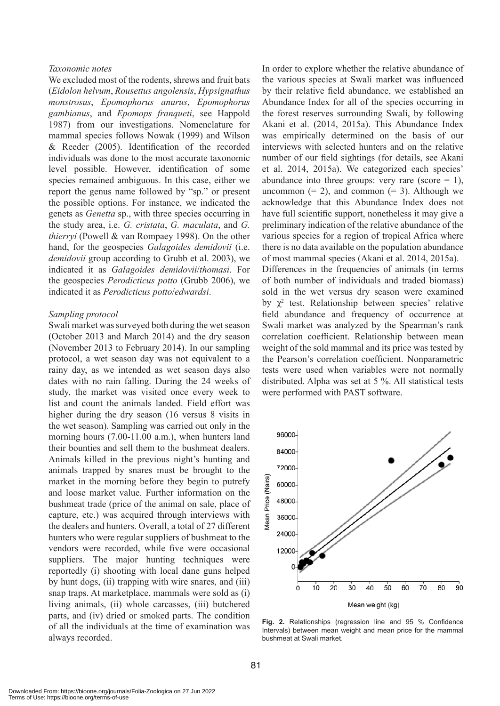#### *Taxonomic notes*

We excluded most of the rodents, shrews and fruit bats (*Eidolon helvum*, *Rousettus angolensis*, *Hypsignathus monstrosus*, *Epomophorus anurus*, *Epomophorus gambianus*, and *Epomops franqueti*, see Happold 1987) from our investigations. Nomenclature for mammal species follows Nowak (1999) and Wilson & Reeder (2005). Identification of the recorded individuals was done to the most accurate taxonomic level possible. However, identification of some species remained ambiguous. In this case, either we report the genus name followed by "sp." or present the possible options. For instance, we indicated the genets as *Genetta* sp., with three species occurring in the study area, i.e. *G. cristata*, *G. maculata*, and *G. thierryi* (Powell & van Rompaey 1998). On the other hand, for the geospecies *Galagoides demidovii* (i.e. *demidovii* group according to Grubb et al. 2003), we indicated it as *Galagoides demidovii*/*thomasi*. For the geospecies *Perodicticus potto* (Grubb 2006), we indicated it as *Perodicticus potto*/*edwardsi*.

#### *Sampling protocol*

Swali market was surveyed both during the wet season (October 2013 and March 2014) and the dry season (November 2013 to February 2014). In our sampling protocol, a wet season day was not equivalent to a rainy day, as we intended as wet season days also dates with no rain falling. During the 24 weeks of study, the market was visited once every week to list and count the animals landed. Field effort was higher during the dry season (16 versus 8 visits in the wet season). Sampling was carried out only in the morning hours (7.00-11.00 a.m.), when hunters land their bounties and sell them to the bushmeat dealers. Animals killed in the previous night's hunting and animals trapped by snares must be brought to the market in the morning before they begin to putrefy and loose market value. Further information on the bushmeat trade (price of the animal on sale, place of capture, etc.) was acquired through interviews with the dealers and hunters. Overall, a total of 27 different hunters who were regular suppliers of bushmeat to the vendors were recorded, while five were occasional suppliers. The major hunting techniques were reportedly (i) shooting with local dane guns helped by hunt dogs, (ii) trapping with wire snares, and (iii) snap traps. At marketplace, mammals were sold as (i) living animals, (ii) whole carcasses, (iii) butchered parts, and (iv) dried or smoked parts. The condition of all the individuals at the time of examination was always recorded.

In order to explore whether the relative abundance of the various species at Swali market was influenced by their relative field abundance, we established an Abundance Index for all of the species occurring in the forest reserves surrounding Swali, by following Akani et al. (2014, 2015a). This Abundance Index was empirically determined on the basis of our interviews with selected hunters and on the relative number of our field sightings (for details, see Akani et al. 2014, 2015a). We categorized each species' abundance into three groups: very rare (score  $= 1$ ), uncommon  $(= 2)$ , and common  $(= 3)$ . Although we acknowledge that this Abundance Index does not have full scientific support, nonetheless it may give a preliminary indication of the relative abundance of the various species for a region of tropical Africa where there is no data available on the population abundance of most mammal species (Akani et al. 2014, 2015a). Differences in the frequencies of animals (in terms of both number of individuals and traded biomass) sold in the wet versus dry season were examined by  $\chi^2$  test. Relationship between species' relative field abundance and frequency of occurrence at Swali market was analyzed by the Spearman's rank correlation coefficient. Relationship between mean

weight of the sold mammal and its price was tested by the Pearson's correlation coefficient. Nonparametric tests were used when variables were not normally distributed. Alpha was set at 5 %. All statistical tests were performed with PAST software.



**Fig. 2.** Relationships (regression line and 95 % Confidence Intervals) between mean weight and mean price for the mammal bushmeat at Swali market.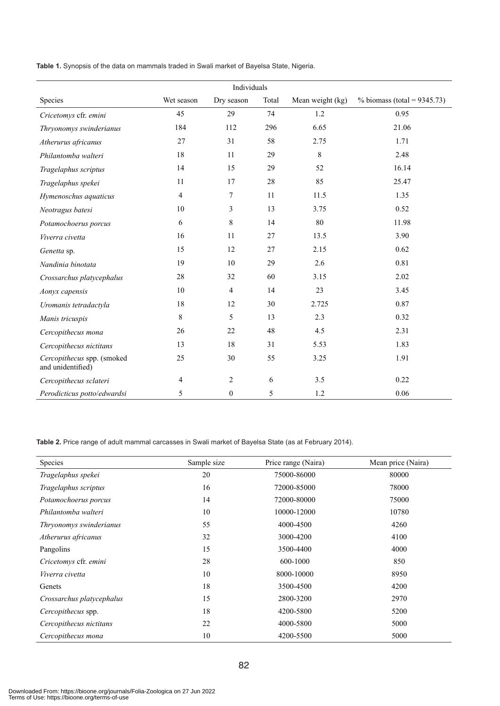**Table 1.** Synopsis of the data on mammals traded in Swali market of Bayelsa State, Nigeria.

| Individuals                                     |             |                |       |                  |                                |  |
|-------------------------------------------------|-------------|----------------|-------|------------------|--------------------------------|--|
| Species                                         | Wet season  | Dry season     | Total | Mean weight (kg) | % biomass (total = $9345.73$ ) |  |
| Cricetomys cfr. emini                           | 45          | 29             | 74    | 1.2              | 0.95                           |  |
| Thryonomys swinderianus                         | 184         | 112            | 296   | 6.65             | 21.06                          |  |
| Atherurus africanus                             | 27          | 31             | 58    | 2.75             | 1.71                           |  |
| Philantomba walteri                             | 18          | 11             | 29    | $\,8\,$          | 2.48                           |  |
| Tragelaphus scriptus                            | 14          | 15             | 29    | 52               | 16.14                          |  |
| Tragelaphus spekei                              | 11          | 17             | 28    | 85               | 25.47                          |  |
| Hymenoschus aquaticus                           | 4           | 7              | 11    | 11.5             | 1.35                           |  |
| Neotragus batesi                                | 10          | 3              | 13    | 3.75             | 0.52                           |  |
| Potamochoerus porcus                            | 6           | 8              | 14    | 80               | 11.98                          |  |
| Viverra civetta                                 | 16          | 11             | 27    | 13.5             | 3.90                           |  |
| Genetta sp.                                     | 15          | 12             | 27    | 2.15             | 0.62                           |  |
| Nandinia binotata                               | 19          | 10             | 29    | 2.6              | 0.81                           |  |
| Crossarchus platycephalus                       | 28          | 32             | 60    | 3.15             | 2.02                           |  |
| Aonyx capensis                                  | 10          | 4              | 14    | 23               | 3.45                           |  |
| Uromanis tetradactyla                           | 18          | 12             | 30    | 2.725            | 0.87                           |  |
| Manis tricuspis                                 | $\,$ 8 $\,$ | 5              | 13    | 2.3              | 0.32                           |  |
| Cercopithecus mona                              | 26          | 22             | 48    | 4.5              | 2.31                           |  |
| Cercopithecus nictitans                         | 13          | 18             | 31    | 5.53             | 1.83                           |  |
| Cercopithecus spp. (smoked<br>and unidentified) | 25          | 30             | 55    | 3.25             | 1.91                           |  |
| Cercopithecus sclateri                          | 4           | $\overline{2}$ | 6     | 3.5              | 0.22                           |  |
| Perodicticus potto/edwardsi                     | 5           | $\overline{0}$ | 5     | 1.2              | 0.06                           |  |

Table 2. Price range of adult mammal carcasses in Swali market of Bayelsa State (as at February 2014).

| <b>Species</b>            | Sample size | Price range (Naira) | Mean price (Naira) |
|---------------------------|-------------|---------------------|--------------------|
| Tragelaphus spekei        | 20          | 75000-86000         | 80000              |
| Tragelaphus scriptus      | 16          | 72000-85000         | 78000              |
| Potamochoerus porcus      | 14          | 72000-80000         | 75000              |
| Philantomba walteri       | 10          | 10000-12000         | 10780              |
| Thryonomys swinderianus   | 55          | 4000-4500           | 4260               |
| Atherurus africanus       | 32          | 3000-4200           | 4100               |
| Pangolins                 | 15          | 3500-4400           | 4000               |
| Cricetomys cfr. emini     | 28          | 600-1000            | 850                |
| Viverra civetta           | 10          | 8000-10000          | 8950               |
| Genets                    | 18          | 3500-4500           | 4200               |
| Crossarchus platycephalus | 15          | 2800-3200           | 2970               |
| Cercopithecus spp.        | 18          | 4200-5800           | 5200               |
| Cercopithecus nictitans   | 22          | 4000-5800           | 5000               |
| Cercopithecus mona        | 10          | 4200-5500           | 5000               |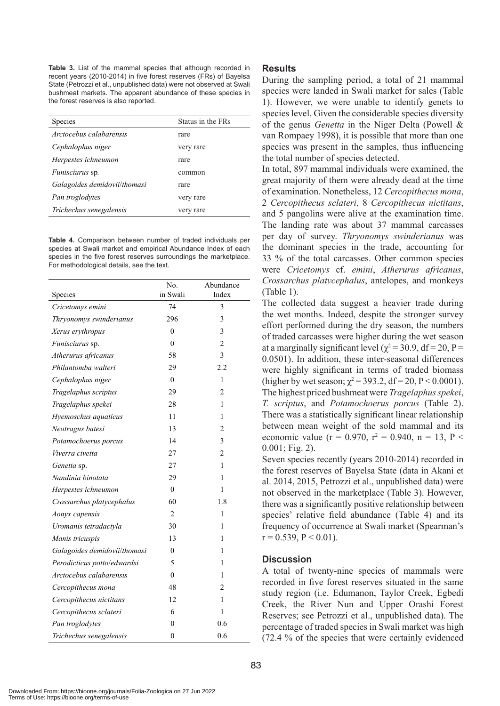**Table 3.** List of the mammal species that although recorded in recent years (2010-2014) in five forest reserves (FRs) of Bayelsa State (Petrozzi et al., unpublished data) were not observed at Swali bushmeat markets. The apparent abundance of these species in the forest reserves is also reported.

| Species                      | Status in the FRs. |  |
|------------------------------|--------------------|--|
| Arctocebus calabarensis      | rare               |  |
| Cephalophus niger            | very rare          |  |
| Herpestes ichneumon          | rare               |  |
| <i>Funisciurus</i> sp.       | common             |  |
| Galagoides demidovii/thomasi | rare               |  |
| Pan troglodytes              | very rare          |  |
| Trichechus senegalensis      | very rare          |  |
|                              |                    |  |

**Table 4.** Comparison between number of traded individuals per species at Swali market and empirical Abundance Index of each species in the five forest reserves surroundings the marketplace. For methodological details, see the text.

| Species                      | No.<br>in Swali | Abundance<br>Index |
|------------------------------|-----------------|--------------------|
| Cricetomys emini             | 74              | 3                  |
| Thryonomys swinderianus      | 296             | 3                  |
| Xerus erythropus             | $\mathbf{0}$    | 3                  |
| Funisciurus sp.              | $\theta$        | $\overline{2}$     |
| Atherurus africanus          | 58              | 3                  |
| Philantomba walteri          | 29              | 2.2                |
| Cephalophus niger            | $\theta$        | $\mathbf{1}$       |
| Tragelaphus scriptus         | 29              | $\overline{c}$     |
| Tragelaphus spekei           | 28              | $\mathbf{1}$       |
| Hyemoschus aquaticus         | 11              | 1                  |
| Neotragus batesi             | 13              | $\overline{c}$     |
| Potamochoerus porcus         | 14              | 3                  |
| Viverra civetta              | 27              | $\overline{2}$     |
| Genetta sp.                  | 27              | 1                  |
| Nandinia binotata            | 29              | 1                  |
| Herpestes ichneumon          | $\mathbf{0}$    | 1                  |
| Crossarchus platycephalus    | 60              | 1.8                |
| Aonyx capensis               | $\overline{2}$  | $\mathbf{1}$       |
| Uromanis tetradactyla        | 30              | $\mathbf{1}$       |
| Manis tricuspis              | 13              | 1                  |
| Galagoides demidovii/thomasi | $\mathbf{0}$    | 1                  |
| Perodicticus potto/edwardsi  | 5               | 1                  |
| Arctocebus calabarensis      | $\theta$        | 1                  |
| Cercopithecus mona           | 48              | 2                  |
| Cercopithecus nictitans      | 12              | $\mathbf{1}$       |
| Cercopithecus sclateri       | 6               | $\mathbf{1}$       |
| Pan troglodytes              | $\theta$        | 0.6                |
| Trichechus senegalensis      | $\theta$        | 0.6                |

## **Results**

During the sampling period, a total of 21 mammal species were landed in Swali market for sales (Table 1). However, we were unable to identify genets to species level. Given the considerable species diversity of the genus *Genetta* in the Niger Delta (Powell & van Rompaey 1998), it is possible that more than one species was present in the samples, thus influencing the total number of species detected.

In total, 897 mammal individuals were examined, the great majority of them were already dead at the time of examination. Nonetheless, 12 *Cercopithecus mona*, 2 *Cercopithecus sclateri*, 8 *Cercopithecus nictitans*, and 5 pangolins were alive at the examination time. The landing rate was about 37 mammal carcasses per day of survey. *Thryonomys swinderianus* was the dominant species in the trade, accounting for 33 % of the total carcasses. Other common species were *Cricetomys* cf. *emini*, *Atherurus africanus*, *Crossarchus platycephalus*, antelopes, and monkeys (Table 1).

The collected data suggest a heavier trade during the wet months. Indeed, despite the stronger survey effort performed during the dry season, the numbers of traded carcasses were higher during the wet season at a marginally significant level ( $\chi^2$  = 30.9, df = 20, P = 0.0501). In addition, these inter-seasonal differences were highly significant in terms of traded biomass (higher by wet season;  $\chi^2$  = 393.2, df = 20, P < 0.0001). The highest priced bushmeat were *Tragelaphus spekei*, *T. scriptus*, and *Potamochoerus porcus* (Table 2). There was a statistically significant linear relationship between mean weight of the sold mammal and its economic value ( $r = 0.970$ ,  $r^2 = 0.940$ ,  $n = 13$ ,  $P <$ 0.001; Fig. 2).

Seven species recently (years 2010-2014) recorded in the forest reserves of Bayelsa State (data in Akani et al. 2014, 2015, Petrozzi et al., unpublished data) were not observed in the marketplace (Table 3). However, there was a significantly positive relationship between species' relative field abundance (Table 4) and its frequency of occurrence at Swali market (Spearman's  $r = 0.539$ ,  $P < 0.01$ ).

## **Discussion**

A total of twenty-nine species of mammals were recorded in five forest reserves situated in the same study region (i.e. Edumanon, Taylor Creek, Egbedi Creek, the River Nun and Upper Orashi Forest Reserves; see Petrozzi et al., unpublished data). The percentage of traded species in Swali market was high (72.4 % of the species that were certainly evidenced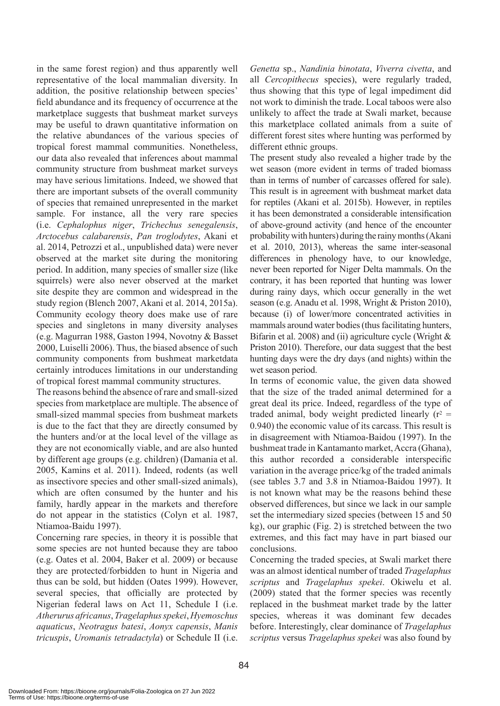in the same forest region) and thus apparently well representative of the local mammalian diversity. In addition, the positive relationship between species' field abundance and its frequency of occurrence at the marketplace suggests that bushmeat market surveys may be useful to drawn quantitative information on the relative abundances of the various species of tropical forest mammal communities. Nonetheless, our data also revealed that inferences about mammal community structure from bushmeat market surveys may have serious limitations. Indeed, we showed that there are important subsets of the overall community of species that remained unrepresented in the market sample. For instance, all the very rare species (i.e. *Cephalophus niger*, *Trichechus senegalensis*, *Arctocebus calabarensis*, *Pan troglodytes*, Akani et al. 2014, Petrozzi et al., unpublished data) were never observed at the market site during the monitoring period. In addition, many species of smaller size (like squirrels) were also never observed at the market site despite they are common and widespread in the study region (Blench 2007, Akani et al. 2014, 2015a). Community ecology theory does make use of rare species and singletons in many diversity analyses (e.g. Magurran 1988, Gaston 1994, Novotny & Basset 2000, Luiselli 2006). Thus, the biased absence of such community components from bushmeat marketdata certainly introduces limitations in our understanding of tropical forest mammal community structures.

The reasons behind the absence of rare and small-sized species from marketplace are multiple. The absence of small-sized mammal species from bushmeat markets is due to the fact that they are directly consumed by the hunters and/or at the local level of the village as they are not economically viable, and are also hunted by different age groups (e.g. children) (Damania et al. 2005, Kamins et al. 2011). Indeed, rodents (as well as insectivore species and other small-sized animals), which are often consumed by the hunter and his family, hardly appear in the markets and therefore do not appear in the statistics (Colyn et al. 1987, Ntiamoa-Baidu 1997).

Concerning rare species, in theory it is possible that some species are not hunted because they are taboo (e.g. Oates et al. 2004, Baker et al. 2009) or because they are protected/forbidden to hunt in Nigeria and thus can be sold, but hidden (Oates 1999). However, several species, that officially are protected by Nigerian federal laws on Act 11, Schedule I (i.e. *Atherurus africanus*, *Tragelaphus spekei*, *Hyemoschus aquaticus*, *Neotragus batesi*, *Aonyx capensis*, *Manis tricuspis*, *Uromanis tetradactyla*) or Schedule II (i.e. *Genetta* sp., *Nandinia binotata*, *Viverra civetta*, and all *Cercopithecus* species), were regularly traded, thus showing that this type of legal impediment did not work to diminish the trade. Local taboos were also unlikely to affect the trade at Swali market, because this marketplace collated animals from a suite of different forest sites where hunting was performed by different ethnic groups.

The present study also revealed a higher trade by the wet season (more evident in terms of traded biomass than in terms of number of carcasses offered for sale). This result is in agreement with bushmeat market data for reptiles (Akani et al. 2015b). However, in reptiles it has been demonstrated a considerable intensification of above-ground activity (and hence of the encounter probability with hunters) during the rainy months (Akani et al. 2010, 2013), whereas the same inter-seasonal differences in phenology have, to our knowledge, never been reported for Niger Delta mammals. On the contrary, it has been reported that hunting was lower during rainy days, which occur generally in the wet season (e.g. Anadu et al. 1998, Wright & Priston 2010), because (i) of lower/more concentrated activities in mammals around water bodies (thus facilitating hunters, Bifarin et al. 2008) and (ii) agriculture cycle (Wright & Priston 2010). Therefore, our data suggest that the best hunting days were the dry days (and nights) within the wet season period.

In terms of economic value, the given data showed that the size of the traded animal determined for a great deal its price. Indeed, regardless of the type of traded animal, body weight predicted linearly  $(r^2 =$ 0.940) the economic value of its carcass. This result is in disagreement with Ntiamoa-Baidou (1997). In the bushmeat trade in Kantamanto market, Accra (Ghana), this author recorded a considerable interspecific variation in the average price/kg of the traded animals (see tables 3.7 and 3.8 in Ntiamoa-Baidou 1997). It is not known what may be the reasons behind these observed differences, but since we lack in our sample set the intermediary sized species (between 15 and 50 kg), our graphic (Fig. 2) is stretched between the two extremes, and this fact may have in part biased our conclusions.

Concerning the traded species, at Swali market there was an almost identical number of traded *Tragelaphus scriptus* and *Tragelaphus spekei*. Okiwelu et al. (2009) stated that the former species was recently replaced in the bushmeat market trade by the latter species, whereas it was dominant few decades before. Interestingly, clear dominance of *Tragelaphus scriptus* versus *Tragelaphus spekei* was also found by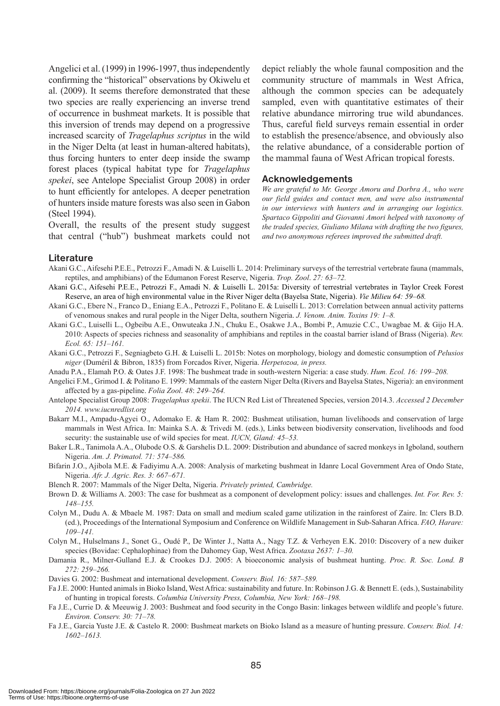Angelici et al. (1999) in 1996-1997, thus independently confirming the "historical" observations by Okiwelu et al. (2009). It seems therefore demonstrated that these two species are really experiencing an inverse trend of occurrence in bushmeat markets. It is possible that this inversion of trends may depend on a progressive increased scarcity of *Tragelaphus scriptus* in the wild in the Niger Delta (at least in human-altered habitats), thus forcing hunters to enter deep inside the swamp forest places (typical habitat type for *Tragelaphus spekei*, see Antelope Specialist Group 2008) in order to hunt efficiently for antelopes. A deeper penetration of hunters inside mature forests was also seen in Gabon (Steel 1994).

Overall, the results of the present study suggest that central ("hub") bushmeat markets could not depict reliably the whole faunal composition and the community structure of mammals in West Africa, although the common species can be adequately sampled, even with quantitative estimates of their relative abundance mirroring true wild abundances. Thus, careful field surveys remain essential in order to establish the presence/absence, and obviously also the relative abundance, of a considerable portion of the mammal fauna of West African tropical forests.

#### **Acknowledgements**

*We are grateful to Mr. George Amoru and Dorbra A., who were our field guides and contact men, and were also instrumental in our interviews with hunters and in arranging our logistics. Spartaco Gippoliti and Giovanni Amori helped with taxonomy of the traded species, Giuliano Milana with drafting the two figures, and two anonymous referees improved the submitted draft.*

#### **Literature**

- Akani G.C., Aifesehi P.E.E., Petrozzi F., Amadi N. & Luiselli L. 2014: Preliminary surveys of the terrestrial vertebrate fauna (mammals, reptiles, and amphibians) of the Edumanon Forest Reserve, Nigeria. *Trop. Zool*. *27: 63–72.*
- Akani G.C., Aifesehi P.E.E., Petrozzi F., Amadi N. & Luiselli L. 2015a: Diversity of terrestrial vertebrates in Taylor Creek Forest Reserve, an area of high environmental value in the River Niger delta (Bayelsa State, Nigeria). *Vie Milieu 64: 59–68.*
- Akani G.C., Ebere N., Franco D., Eniang E.A., Petrozzi F., Politano E. & Luiselli L. 2013: Correlation between annual activity patterns of venomous snakes and rural people in the Niger Delta, southern Nigeria. *J. Venom. Anim. Toxins 19: 1–8.*
- Akani G.C., Luiselli L., Ogbeibu A.E., Onwuteaka J.N., Chuku E., Osakwe J.A., Bombi P., Amuzie C.C., Uwagbae M. & Gijo H.A. 2010: Aspects of species richness and seasonality of amphibians and reptiles in the coastal barrier island of Brass (Nigeria). *Rev. Ecol. 65: 151–161.*
- Akani G.C., Petrozzi F., Segniagbeto G.H. & Luiselli L. 2015b: Notes on morphology, biology and domestic consumption of *Pelusios niger* (Duméril & Bibron, 1835) from Forcados River, Nigeria. *Herpetozoa, in press.*
- Anadu P.A., Elamah P.O. & Oates J.F. 1998: The bushmeat trade in south-western Nigeria: a case study. *Hum. Ecol. 16: 199–208.*
- Angelici F.M., Grimod I. & Politano E. 1999: Mammals of the eastern Niger Delta (Rivers and Bayelsa States, Nigeria): an environment affected by a gas-pipeline. *Folia Zool*. *48*: *249–264.*
- Antelope Specialist Group 2008: *Tragelaphus spekii*. The IUCN Red List of Threatened Species, version 2014.3. *Accessed 2 December 2014. www.iucnredlist.org*
- Bakarr M.I., Ampadu-Agyei O., Adomako E. & Ham R. 2002: Bushmeat utilisation, human livelihoods and conservation of large mammals in West Africa. In: Mainka S.A. & Trivedi M. (eds.), Links between biodiversity conservation, livelihoods and food security: the sustainable use of wild species for meat. *IUCN, Gland: 45–53.*
- Baker L.R., Tanimola A.A., Olubode O.S. & Garshelis D.L. 2009: Distribution and abundance of sacred monkeys in Igboland, southern Nigeria. *Am. J. Primatol. 71: 574–586.*
- Bifarin J.O., Ajibola M.E. & Fadiyimu A.A. 2008: Analysis of marketing bushmeat in Idanre Local Government Area of Ondo State, Nigeria. *Afr. J. Agric. Res. 3: 667–671.*
- Blench R. 2007: Mammals of the Niger Delta, Nigeria. *Privately printed, Cambridge.*
- Brown D. & Williams A. 2003: The case for bushmeat as a component of development policy: issues and challenges. *Int. For. Rev. 5: 148–155.*
- Colyn M., Dudu A. & Mbaele M. 1987: Data on small and medium scaled game utilization in the rainforest of Zaire. In: Clers B.D. (ed.), Proceedings of the International Symposium and Conference on Wildlife Management in Sub-Saharan Africa. *FAO, Harare: 109–141.*
- Colyn M., Hulselmans J., Sonet G., Oudé P., De Winter J., Natta A., Nagy T.Z. & Verheyen E.K. 2010: Discovery of a new duiker species (Bovidae: Cephalophinae) from the Dahomey Gap, West Africa. *Zootaxa 2637: 1–30.*
- Damania R., Milner-Gulland E.J. & Crookes D.J. 2005: A bioeconomic analysis of bushmeat hunting. *Proc. R. Soc. Lond. B 272: 259–266.*
- Davies G. 2002: Bushmeat and international development. *Conserv. Biol. 16: 587–589.*
- Fa J.E. 2000: Hunted animals in Bioko Island, West Africa: sustainability and future. In: Robinson J.G. & Bennett E. (eds.), Sustainability of hunting in tropical forests. *Columbia University Press, Columbia, New York: 168–198.*
- Fa J.E., Currie D. & Meeuwig J. 2003: Bushmeat and food security in the Congo Basin: linkages between wildlife and people's future. *Environ. Conserv. 30: 71–78.*
- Fa J.E., Garcia Yuste J.E. & Castelo R. 2000: Bushmeat markets on Bioko Island as a measure of hunting pressure. *Conserv. Biol. 14: 1602–1613.*